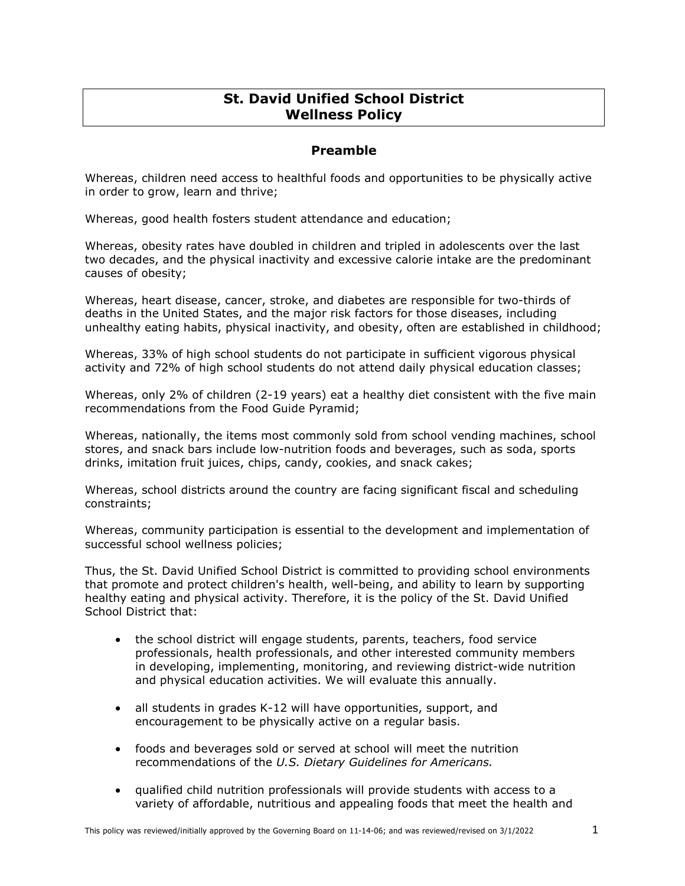# **St. David Unified School District Wellness Policy**

# **Preamble**

Whereas, children need access to healthful foods and opportunities to be physically active in order to grow, learn and thrive;

Whereas, good health fosters student attendance and education;

Whereas, obesity rates have doubled in children and tripled in adolescents over the last two decades, and the physical inactivity and excessive calorie intake are the predominant causes of obesity;

Whereas, heart disease, cancer, stroke, and diabetes are responsible for two-thirds of deaths in the United States, and the major risk factors for those diseases, including unhealthy eating habits, physical inactivity, and obesity, often are established in childhood;

Whereas, 33% of high school students do not participate in sufficient vigorous physical activity and 72% of high school students do not attend daily physical education classes;

Whereas, only 2% of children (2-19 years) eat a healthy diet consistent with the five main recommendations from the Food Guide Pyramid;

Whereas, nationally, the items most commonly sold from school vending machines, school stores, and snack bars include low-nutrition foods and beverages, such as soda, sports drinks, imitation fruit juices, chips, candy, cookies, and snack cakes;

Whereas, school districts around the country are facing significant fiscal and scheduling constraints;

Whereas, community participation is essential to the development and implementation of successful school wellness policies;

Thus, the St. David Unified School District is committed to providing school environments that promote and protect children's health, well-being, and ability to learn by supporting healthy eating and physical activity. Therefore, it is the policy of the St. David Unified School District that:

- the school district will engage students, parents, teachers, food service professionals, health professionals, and other interested community members in developing, implementing, monitoring, and reviewing district-wide nutrition and physical education activities. We will evaluate this annually.
- all students in grades K-12 will have opportunities, support, and encouragement to be physically active on a regular basis.
- foods and beverages sold or served at school will meet the nutrition recommendations of the *U.S. Dietary Guidelines for Americans.*
- qualified child nutrition professionals will provide students with access to a variety of affordable, nutritious and appealing foods that meet the health and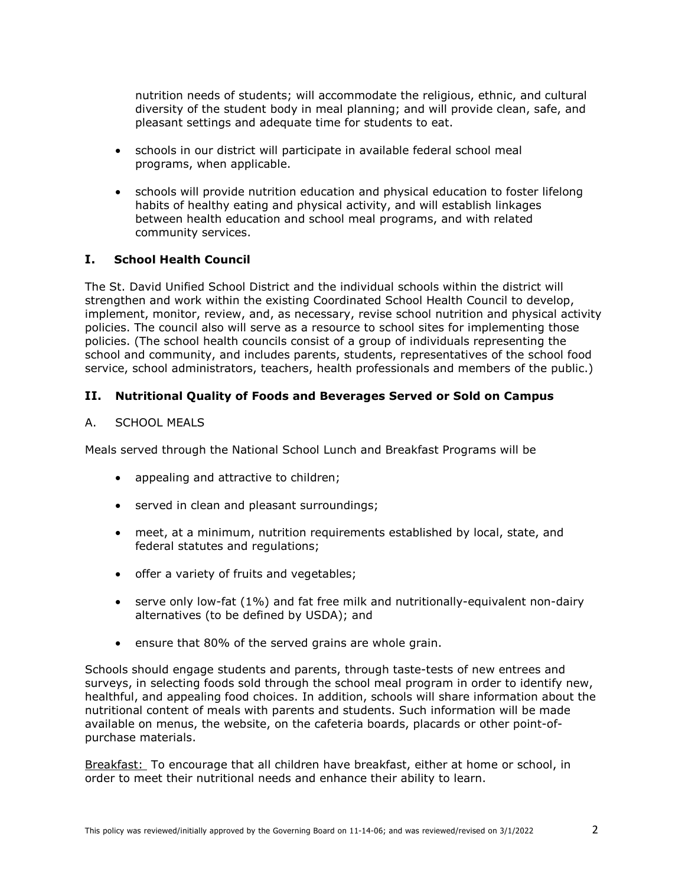nutrition needs of students; will accommodate the religious, ethnic, and cultural diversity of the student body in meal planning; and will provide clean, safe, and pleasant settings and adequate time for students to eat.

- schools in our district will participate in available federal school meal programs, when applicable.
- schools will provide nutrition education and physical education to foster lifelong habits of healthy eating and physical activity, and will establish linkages between health education and school meal programs, and with related community services.

## **I. School Health Council**

The St. David Unified School District and the individual schools within the district will strengthen and work within the existing Coordinated School Health Council to develop, implement, monitor, review, and, as necessary, revise school nutrition and physical activity policies. The council also will serve as a resource to school sites for implementing those policies. (The school health councils consist of a group of individuals representing the school and community, and includes parents, students, representatives of the school food service, school administrators, teachers, health professionals and members of the public.)

## **II. Nutritional Quality of Foods and Beverages Served or Sold on Campus**

A. SCHOOL MEALS

Meals served through the National School Lunch and Breakfast Programs will be

- appealing and attractive to children;
- served in clean and pleasant surroundings;
- meet, at a minimum, nutrition requirements established by local, state, and federal statutes and regulations;
- offer a variety of fruits and vegetables;
- serve only low-fat (1%) and fat free milk and nutritionally-equivalent non-dairy alternatives (to be defined by USDA); and
- ensure that 80% of the served grains are whole grain.

Schools should engage students and parents, through taste-tests of new entrees and surveys, in selecting foods sold through the school meal program in order to identify new, healthful, and appealing food choices. In addition, schools will share information about the nutritional content of meals with parents and students. Such information will be made available on menus, the website, on the cafeteria boards, placards or other point-ofpurchase materials.

Breakfast: To encourage that all children have breakfast, either at home or school, in order to meet their nutritional needs and enhance their ability to learn.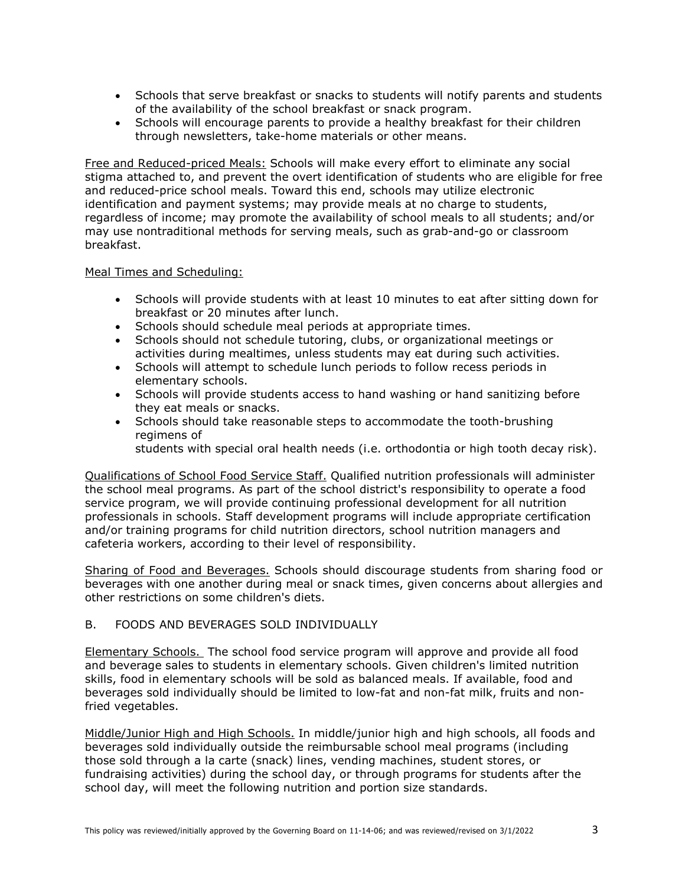- Schools that serve breakfast or snacks to students will notify parents and students of the availability of the school breakfast or snack program.
- Schools will encourage parents to provide a healthy breakfast for their children through newsletters, take-home materials or other means.

Free and Reduced-priced Meals: Schools will make every effort to eliminate any social stigma attached to, and prevent the overt identification of students who are eligible for free and reduced-price school meals. Toward this end, schools may utilize electronic identification and payment systems; may provide meals at no charge to students, regardless of income; may promote the availability of school meals to all students; and/or may use nontraditional methods for serving meals, such as grab-and-go or classroom breakfast.

#### Meal Times and Scheduling:

- Schools will provide students with at least 10 minutes to eat after sitting down for breakfast or 20 minutes after lunch.
- Schools should schedule meal periods at appropriate times.
- Schools should not schedule tutoring, clubs, or organizational meetings or activities during mealtimes, unless students may eat during such activities.
- Schools will attempt to schedule lunch periods to follow recess periods in elementary schools.
- Schools will provide students access to hand washing or hand sanitizing before they eat meals or snacks.
- Schools should take reasonable steps to accommodate the tooth-brushing regimens of

students with special oral health needs (i.e. orthodontia or high tooth decay risk).

Qualifications of School Food Service Staff. Qualified nutrition professionals will administer the school meal programs. As part of the school district's responsibility to operate a food service program, we will provide continuing professional development for all nutrition professionals in schools. Staff development programs will include appropriate certification and/or training programs for child nutrition directors, school nutrition managers and cafeteria workers, according to their level of responsibility.

Sharing of Food and Beverages. Schools should discourage students from sharing food or beverages with one another during meal or snack times, given concerns about allergies and other restrictions on some children's diets.

## B. FOODS AND BEVERAGES SOLD INDIVIDUALLY

Elementary Schools. The school food service program will approve and provide all food and beverage sales to students in elementary schools. Given children's limited nutrition skills, food in elementary schools will be sold as balanced meals. If available, food and beverages sold individually should be limited to low-fat and non-fat milk, fruits and nonfried vegetables.

Middle/Junior High and High Schools. In middle/junior high and high schools, all foods and beverages sold individually outside the reimbursable school meal programs (including those sold through a la carte (snack) lines, vending machines, student stores, or fundraising activities) during the school day, or through programs for students after the school day, will meet the following nutrition and portion size standards.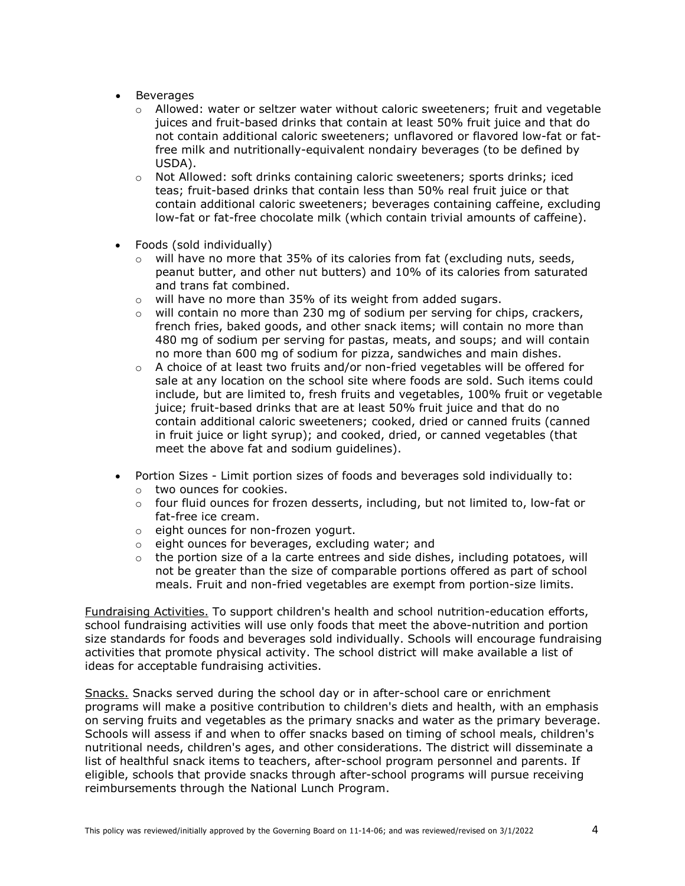- **Beverages** 
	- $\circ$  Allowed: water or seltzer water without caloric sweeteners; fruit and vegetable juices and fruit-based drinks that contain at least 50% fruit juice and that do not contain additional caloric sweeteners; unflavored or flavored low-fat or fatfree milk and nutritionally-equivalent nondairy beverages (to be defined by USDA).
	- $\circ$  Not Allowed: soft drinks containing caloric sweeteners; sports drinks; iced teas; fruit-based drinks that contain less than 50% real fruit juice or that contain additional caloric sweeteners; beverages containing caffeine, excluding low-fat or fat-free chocolate milk (which contain trivial amounts of caffeine).
- Foods (sold individually)
	- $\circ$  will have no more that 35% of its calories from fat (excluding nuts, seeds, peanut butter, and other nut butters) and 10% of its calories from saturated and trans fat combined.
	- o will have no more than 35% of its weight from added sugars.
	- $\circ$  will contain no more than 230 mg of sodium per serving for chips, crackers, french fries, baked goods, and other snack items; will contain no more than 480 mg of sodium per serving for pastas, meats, and soups; and will contain no more than 600 mg of sodium for pizza, sandwiches and main dishes.
	- $\circ$  A choice of at least two fruits and/or non-fried vegetables will be offered for sale at any location on the school site where foods are sold. Such items could include, but are limited to, fresh fruits and vegetables, 100% fruit or vegetable juice; fruit-based drinks that are at least 50% fruit juice and that do no contain additional caloric sweeteners; cooked, dried or canned fruits (canned in fruit juice or light syrup); and cooked, dried, or canned vegetables (that meet the above fat and sodium guidelines).
- Portion Sizes Limit portion sizes of foods and beverages sold individually to:
	- o two ounces for cookies.
	- $\circ$  four fluid ounces for frozen desserts, including, but not limited to, low-fat or fat-free ice cream.
	- o eight ounces for non-frozen yogurt.
	- o eight ounces for beverages, excluding water; and
	- $\circ$  the portion size of a la carte entrees and side dishes, including potatoes, will not be greater than the size of comparable portions offered as part of school meals. Fruit and non-fried vegetables are exempt from portion-size limits.

Fundraising Activities. To support children's health and school nutrition-education efforts, school fundraising activities will use only foods that meet the above-nutrition and portion size standards for foods and beverages sold individually. Schools will encourage fundraising activities that promote physical activity. The school district will make available a list of ideas for acceptable fundraising activities.

Snacks. Snacks served during the school day or in after-school care or enrichment programs will make a positive contribution to children's diets and health, with an emphasis on serving fruits and vegetables as the primary snacks and water as the primary beverage. Schools will assess if and when to offer snacks based on timing of school meals, children's nutritional needs, children's ages, and other considerations. The district will disseminate a list of healthful snack items to teachers, after-school program personnel and parents. If eligible, schools that provide snacks through after-school programs will pursue receiving reimbursements through the National Lunch Program.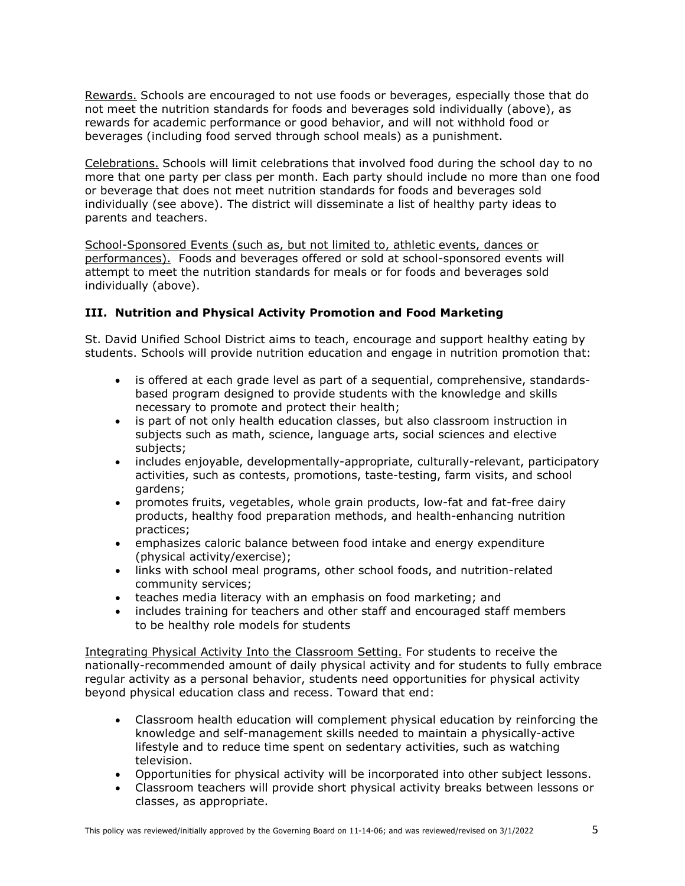Rewards. Schools are encouraged to not use foods or beverages, especially those that do not meet the nutrition standards for foods and beverages sold individually (above), as rewards for academic performance or good behavior, and will not withhold food or beverages (including food served through school meals) as a punishment.

Celebrations. Schools will limit celebrations that involved food during the school day to no more that one party per class per month. Each party should include no more than one food or beverage that does not meet nutrition standards for foods and beverages sold individually (see above). The district will disseminate a list of healthy party ideas to parents and teachers.

School-Sponsored Events (such as, but not limited to, athletic events, dances or performances). Foods and beverages offered or sold at school-sponsored events will attempt to meet the nutrition standards for meals or for foods and beverages sold individually (above).

# **III. Nutrition and Physical Activity Promotion and Food Marketing**

St. David Unified School District aims to teach, encourage and support healthy eating by students. Schools will provide nutrition education and engage in nutrition promotion that:

- is offered at each grade level as part of a sequential, comprehensive, standardsbased program designed to provide students with the knowledge and skills necessary to promote and protect their health;
- is part of not only health education classes, but also classroom instruction in subjects such as math, science, language arts, social sciences and elective subjects;
- includes enjoyable, developmentally-appropriate, culturally-relevant, participatory activities, such as contests, promotions, taste-testing, farm visits, and school gardens;
- promotes fruits, vegetables, whole grain products, low-fat and fat-free dairy products, healthy food preparation methods, and health-enhancing nutrition practices;
- emphasizes caloric balance between food intake and energy expenditure (physical activity/exercise);
- links with school meal programs, other school foods, and nutrition-related community services;
- teaches media literacy with an emphasis on food marketing; and
- includes training for teachers and other staff and encouraged staff members to be healthy role models for students

Integrating Physical Activity Into the Classroom Setting. For students to receive the nationally-recommended amount of daily physical activity and for students to fully embrace regular activity as a personal behavior, students need opportunities for physical activity beyond physical education class and recess. Toward that end:

- Classroom health education will complement physical education by reinforcing the knowledge and self-management skills needed to maintain a physically-active lifestyle and to reduce time spent on sedentary activities, such as watching television.
- Opportunities for physical activity will be incorporated into other subject lessons.
- Classroom teachers will provide short physical activity breaks between lessons or classes, as appropriate.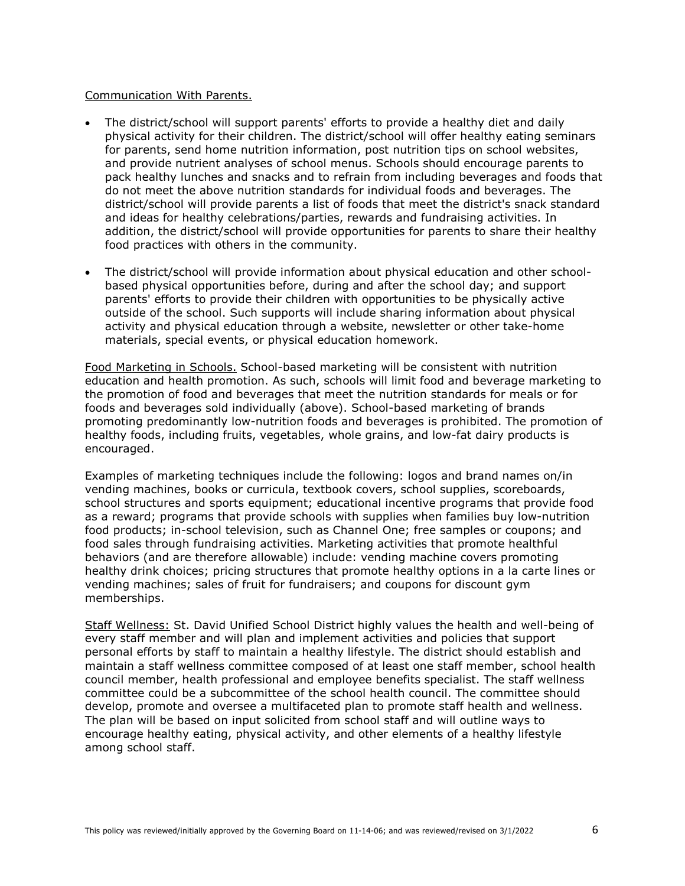#### Communication With Parents.

- The district/school will support parents' efforts to provide a healthy diet and daily physical activity for their children. The district/school will offer healthy eating seminars for parents, send home nutrition information, post nutrition tips on school websites, and provide nutrient analyses of school menus. Schools should encourage parents to pack healthy lunches and snacks and to refrain from including beverages and foods that do not meet the above nutrition standards for individual foods and beverages. The district/school will provide parents a list of foods that meet the district's snack standard and ideas for healthy celebrations/parties, rewards and fundraising activities. In addition, the district/school will provide opportunities for parents to share their healthy food practices with others in the community.
- The district/school will provide information about physical education and other schoolbased physical opportunities before, during and after the school day; and support parents' efforts to provide their children with opportunities to be physically active outside of the school. Such supports will include sharing information about physical activity and physical education through a website, newsletter or other take-home materials, special events, or physical education homework.

Food Marketing in Schools. School-based marketing will be consistent with nutrition education and health promotion. As such, schools will limit food and beverage marketing to the promotion of food and beverages that meet the nutrition standards for meals or for foods and beverages sold individually (above). School-based marketing of brands promoting predominantly low-nutrition foods and beverages is prohibited. The promotion of healthy foods, including fruits, vegetables, whole grains, and low-fat dairy products is encouraged.

Examples of marketing techniques include the following: logos and brand names on/in vending machines, books or curricula, textbook covers, school supplies, scoreboards, school structures and sports equipment; educational incentive programs that provide food as a reward; programs that provide schools with supplies when families buy low-nutrition food products; in-school television, such as Channel One; free samples or coupons; and food sales through fundraising activities. Marketing activities that promote healthful behaviors (and are therefore allowable) include: vending machine covers promoting healthy drink choices; pricing structures that promote healthy options in a la carte lines or vending machines; sales of fruit for fundraisers; and coupons for discount gym memberships.

Staff Wellness: St. David Unified School District highly values the health and well-being of every staff member and will plan and implement activities and policies that support personal efforts by staff to maintain a healthy lifestyle. The district should establish and maintain a staff wellness committee composed of at least one staff member, school health council member, health professional and employee benefits specialist. The staff wellness committee could be a subcommittee of the school health council. The committee should develop, promote and oversee a multifaceted plan to promote staff health and wellness. The plan will be based on input solicited from school staff and will outline ways to encourage healthy eating, physical activity, and other elements of a healthy lifestyle among school staff.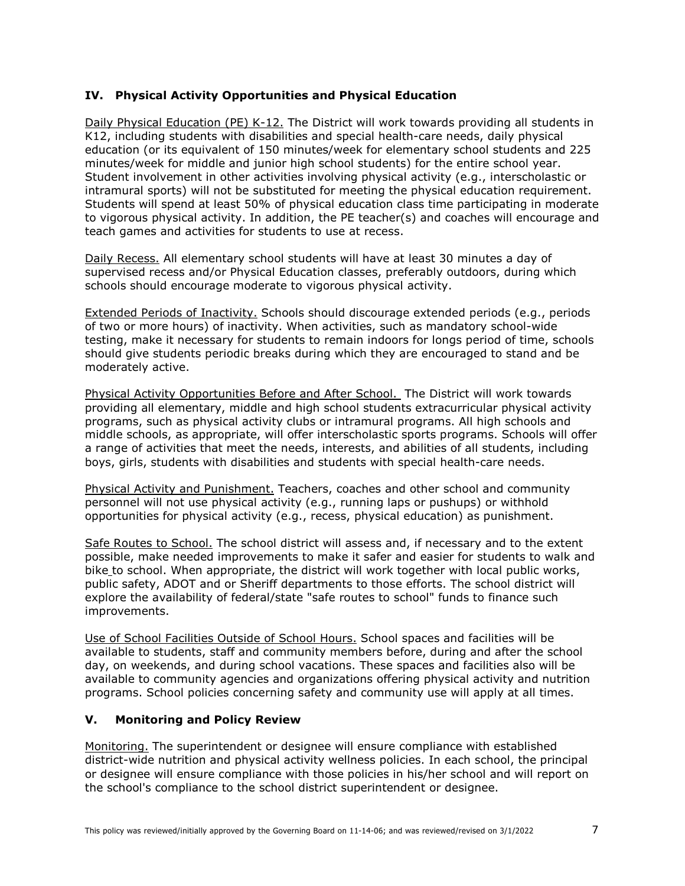# **IV. Physical Activity Opportunities and Physical Education**

Daily Physical Education (PE) K-12. The District will work towards providing all students in K12, including students with disabilities and special health-care needs, daily physical education (or its equivalent of 150 minutes/week for elementary school students and 225 minutes/week for middle and junior high school students) for the entire school year. Student involvement in other activities involving physical activity (e.g., interscholastic or intramural sports) will not be substituted for meeting the physical education requirement. Students will spend at least 50% of physical education class time participating in moderate to vigorous physical activity. In addition, the PE teacher(s) and coaches will encourage and teach games and activities for students to use at recess.

Daily Recess. All elementary school students will have at least 30 minutes a day of supervised recess and/or Physical Education classes, preferably outdoors, during which schools should encourage moderate to vigorous physical activity.

Extended Periods of Inactivity. Schools should discourage extended periods (e.g., periods of two or more hours) of inactivity. When activities, such as mandatory school-wide testing, make it necessary for students to remain indoors for longs period of time, schools should give students periodic breaks during which they are encouraged to stand and be moderately active.

Physical Activity Opportunities Before and After School. The District will work towards providing all elementary, middle and high school students extracurricular physical activity programs, such as physical activity clubs or intramural programs. All high schools and middle schools, as appropriate, will offer interscholastic sports programs. Schools will offer a range of activities that meet the needs, interests, and abilities of all students, including boys, girls, students with disabilities and students with special health-care needs.

Physical Activity and Punishment. Teachers, coaches and other school and community personnel will not use physical activity (e.g., running laps or pushups) or withhold opportunities for physical activity (e.g., recess, physical education) as punishment.

Safe Routes to School. The school district will assess and, if necessary and to the extent possible, make needed improvements to make it safer and easier for students to walk and bike to school. When appropriate, the district will work together with local public works, public safety, ADOT and or Sheriff departments to those efforts. The school district will explore the availability of federal/state "safe routes to school" funds to finance such improvements.

Use of School Facilities Outside of School Hours. School spaces and facilities will be available to students, staff and community members before, during and after the school day, on weekends, and during school vacations. These spaces and facilities also will be available to community agencies and organizations offering physical activity and nutrition programs. School policies concerning safety and community use will apply at all times.

# **V. Monitoring and Policy Review**

Monitoring. The superintendent or designee will ensure compliance with established district-wide nutrition and physical activity wellness policies. In each school, the principal or designee will ensure compliance with those policies in his/her school and will report on the school's compliance to the school district superintendent or designee.